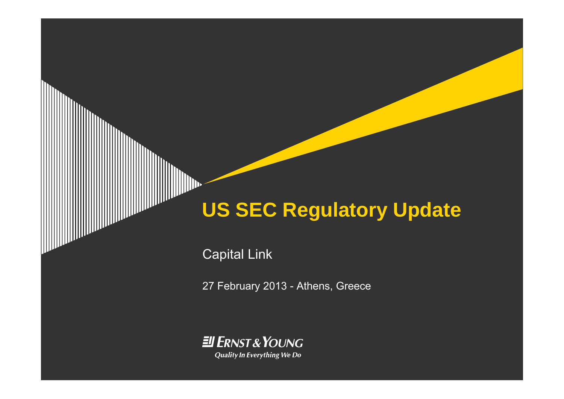# **US SEC Regulatory Update**

Capital Link

27 February 2013 - Athens, Greece

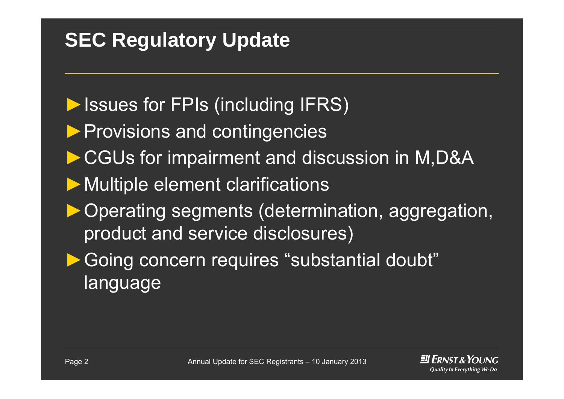## **SEC Regulatory Update**

- ▶Issues for FPIs (including IFRS)
- ▶ Provisions and contingencies
- ►CGUs for impairment and discussion in M,D&A
- ▶ Multiple element clarifications
- ►Operating segments (determination, aggregation, product and service disclosures)
- Going concern requires "substantial doubt" language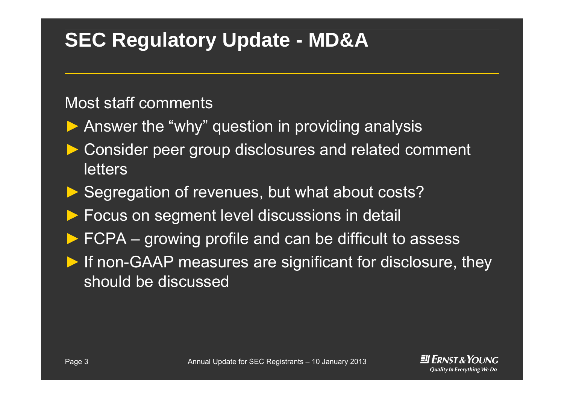### **SEC Regulatory Update - MD&A**

#### Most staff comments

- ▶ Answer the "why" question in providing analysis
- ► Consider peer group disclosures and related comment letters
- ▶ Segregation of revenues, but what about costs?
- ►Focus on segment level discussions in detail
- ►FCPA – growing profile and can be difficult to assess
- ► If non-GAAP measures are significant for disclosure, they should be discussed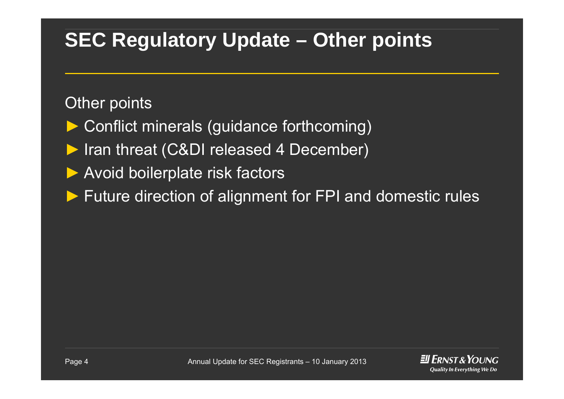### **SEC Regulatory Update – Other points**

#### Other points

► Conflict minerals (guidance forthcoming) ► Iran threat (C&DI released 4 December) ► Avoid boilerplate risk factors ►Future direction of alignment for FPI and domestic rules

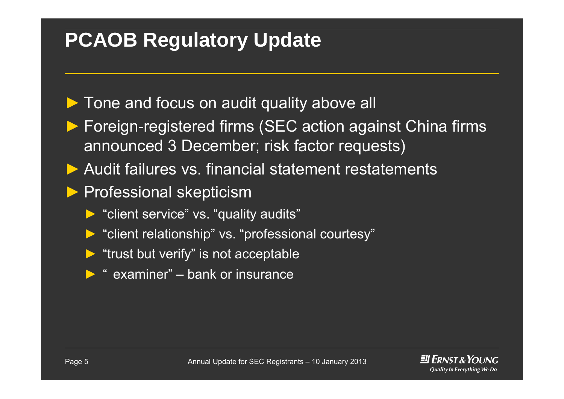#### **PCAOB Regulatory Update**

- ▶ Tone and focus on audit quality above all
- ▶ Foreign-registered firms (SEC action against China firms announced 3 December; risk factor requests)
- ► Audit failures vs. financial statement restatements
- ▶ Professional skepticism
	- ► "client service" vs. "quality audits"
	- ► "client relationship" vs. "professional courtesy"
	- ► "trust but verify" is not acceptable
	- $\triangleright$  " examiner" bank or insurance